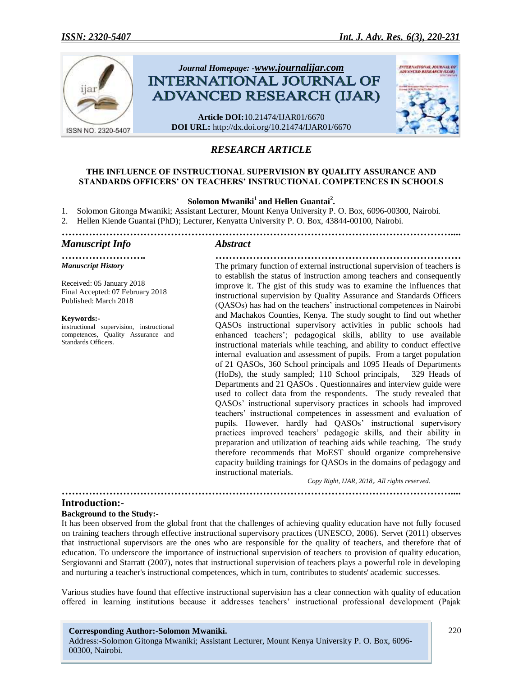

# *RESEARCH ARTICLE*

### **THE INFLUENCE OF INSTRUCTIONAL SUPERVISION BY QUALITY ASSURANCE AND STANDARDS OFFICERS' ON TEACHERS' INSTRUCTIONAL COMPETENCES IN SCHOOLS**

## **Solomon Mwaniki<sup>1</sup> and Hellen Guantai<sup>2</sup> .**

- 1. Solomon Gitonga Mwaniki; Assistant Lecturer, Mount Kenya University P. O. Box, 6096-00300, Nairobi.
- 2. Hellen Kiende Guantai (PhD); Lecturer, Kenyatta University P. O. Box, 43844-00100, Nairobi.
- *……………………………………………………………………………………………………....*

#### *Manuscript Info Abstract*

*……………………. ……………………………………………………………… Manuscript History*

Received: 05 January 2018 Final Accepted: 07 February 2018 Published: March 2018

#### **Keywords:-**

instructional supervision, instructional competences, Quality Assurance and Standards Officers.

The primary function of external instructional supervision of teachers is to establish the status of instruction among teachers and consequently improve it. The gist of this study was to examine the influences that instructional supervision by Quality Assurance and Standards Officers (QASOs) has had on the teachers" instructional competences in Nairobi and Machakos Counties, Kenya. The study sought to find out whether QASOs instructional supervisory activities in public schools had enhanced teachers"; pedagogical skills, ability to use available instructional materials while teaching, and ability to conduct effective internal evaluation and assessment of pupils. From a target population of 21 QASOs, 360 School principals and 1095 Heads of Departments (HoDs), the study sampled; 110 School principals, 329 Heads of Departments and 21 QASOs . Questionnaires and interview guide were used to collect data from the respondents. The study revealed that QASOs" instructional supervisory practices in schools had improved teachers" instructional competences in assessment and evaluation of pupils. However, hardly had QASOs' instructional supervisory practices improved teachers" pedagogic skills, and their ability in preparation and utilization of teaching aids while teaching. The study therefore recommends that MoEST should organize comprehensive capacity building trainings for QASOs in the domains of pedagogy and instructional materials.

*Copy Right, IJAR, 2018,. All rights reserved.*

#### **Introduction:-**

#### **Background to the Study:-**

It has been observed from the global front that the challenges of achieving quality education have not fully focused on training teachers through effective instructional supervisory practices (UNESCO, 2006). Servet (2011) observes that instructional supervisors are the ones who are responsible for the quality of teachers, and therefore that of education. To underscore the importance of instructional supervision of teachers to provision of quality education, Sergiovanni and Starratt (2007), notes that instructional supervision of teachers plays a powerful role in developing and nurturing a teacher's instructional competences, which in turn, contributes to students' academic successes.

*……………………………………………………………………………………………………....*

Various studies have found that effective instructional supervision has a clear connection with quality of education offered in learning institutions because it addresses teachers" instructional professional development (Pajak

#### **Corresponding Author:-Solomon Mwaniki.**

Address:-Solomon Gitonga Mwaniki; Assistant Lecturer, Mount Kenya University P. O. Box, 6096- 00300, Nairobi.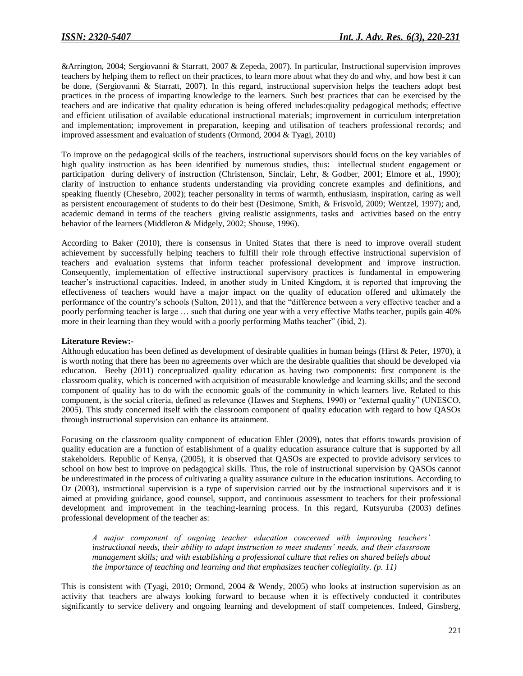&Arrington, 2004; Sergiovanni & Starratt, 2007 & Zepeda, 2007). In particular, Instructional supervision improves teachers by helping them to reflect on their practices, to learn more about what they do and why, and how best it can be done, (Sergiovanni & Starratt, 2007). In this regard, instructional supervision helps the teachers adopt best practices in the process of imparting knowledge to the learners. Such best practices that can be exercised by the teachers and are indicative that quality education is being offered includes:quality pedagogical methods; effective and efficient utilisation of available educational instructional materials; improvement in curriculum interpretation and implementation; improvement in preparation, keeping and utilisation of teachers professional records; and improved assessment and evaluation of students (Ormond, 2004 & Tyagi, 2010)

To improve on the pedagogical skills of the teachers, instructional supervisors should focus on the key variables of high quality instruction as has been identified by numerous studies, thus: intellectual student engagement or participation during delivery of instruction (Christenson, Sinclair, Lehr, & Godber, 2001; Elmore et al., 1990); clarity of instruction to enhance students understanding via providing concrete examples and definitions, and speaking fluently (Chesebro, 2002); teacher personality in terms of warmth, enthusiasm, inspiration, caring as well as persistent encouragement of students to do their best (Desimone, Smith, & Frisvold, 2009; Wentzel, 1997); and, academic demand in terms of the teachers giving realistic assignments, tasks and activities based on the entry behavior of the learners (Middleton & Midgely, 2002; Shouse, 1996).

According to Baker (2010), there is consensus in United States that there is need to improve overall student achievement by successfully helping teachers to fulfill their role through effective instructional supervision of teachers and evaluation systems that inform teacher professional development and improve instruction. Consequently, implementation of effective instructional supervisory practices is fundamental in empowering teacher"s instructional capacities. Indeed, in another study in United Kingdom, it is reported that improving the effectiveness of teachers would have a major impact on the quality of education offered and ultimately the performance of the country"s schools (Sulton, 2011), and that the "difference between a very effective teacher and a poorly performing teacher is large … such that during one year with a very effective Maths teacher, pupils gain 40% more in their learning than they would with a poorly performing Maths teacher" (ibid, 2).

#### **Literature Review:-**

Although education has been defined as development of desirable qualities in human beings (Hirst & Peter, 1970), it is worth noting that there has been no agreements over which are the desirable qualities that should be developed via education. Beeby (2011) conceptualized quality education as having two components: first component is the classroom quality, which is concerned with acquisition of measurable knowledge and learning skills; and the second component of quality has to do with the economic goals of the community in which learners live. Related to this component, is the social criteria, defined as relevance (Hawes and Stephens, 1990) or "external quality" (UNESCO, 2005). This study concerned itself with the classroom component of quality education with regard to how QASOs through instructional supervision can enhance its attainment.

Focusing on the classroom quality component of education Ehler (2009), notes that efforts towards provision of quality education are a function of establishment of a quality education assurance culture that is supported by all stakeholders. Republic of Kenya, (2005), it is observed that QASOs are expected to provide advisory services to school on how best to improve on pedagogical skills. Thus, the role of instructional supervision by QASOs cannot be underestimated in the process of cultivating a quality assurance culture in the education institutions. According to Oz (2003), instructional supervision is a type of supervision carried out by the instructional supervisors and it is aimed at providing guidance, good counsel, support, and continuous assessment to teachers for their professional development and improvement in the teaching-learning process. In this regard, Kutsyuruba (2003) defines professional development of the teacher as:

*A major component of ongoing teacher education concerned with improving teachers' instructional needs, their ability to adapt instruction to meet students' needs, and their classroom management skills; and with establishing a professional culture that relies on shared beliefs about the importance of teaching and learning and that emphasizes teacher collegiality. (p. 11)*

This is consistent with (Tyagi, 2010; Ormond, 2004 & Wendy, 2005) who looks at instruction supervision as an activity that teachers are always looking forward to because when it is effectively conducted it contributes significantly to service delivery and ongoing learning and development of staff competences. Indeed, Ginsberg,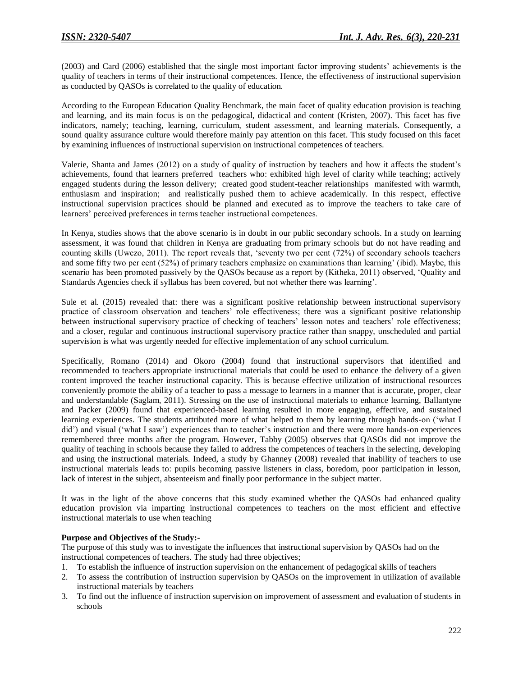(2003) and Card (2006) established that the single most important factor improving students" achievements is the quality of teachers in terms of their instructional competences. Hence, the effectiveness of instructional supervision as conducted by QASOs is correlated to the quality of education.

According to the European Education Quality Benchmark, the main facet of quality education provision is teaching and learning, and its main focus is on the pedagogical, didactical and content (Kristen, 2007). This facet has five indicators, namely; teaching, learning, curriculum, student assessment, and learning materials. Consequently, a sound quality assurance culture would therefore mainly pay attention on this facet. This study focused on this facet by examining influences of instructional supervision on instructional competences of teachers.

Valerie, Shanta and James (2012) on a study of quality of instruction by teachers and how it affects the student"s achievements, found that learners preferred teachers who: exhibited high level of clarity while teaching; actively engaged students during the lesson delivery; created good student-teacher relationships manifested with warmth, enthusiasm and inspiration; and realistically pushed them to achieve academically. In this respect, effective instructional supervision practices should be planned and executed as to improve the teachers to take care of learners' perceived preferences in terms teacher instructional competences.

In Kenya, studies shows that the above scenario is in doubt in our public secondary schools. In a study on learning assessment, it was found that children in Kenya are graduating from primary schools but do not have reading and counting skills (Uwezo, 2011). The report reveals that, "seventy two per cent (72%) of secondary schools teachers and some fifty two per cent (52%) of primary teachers emphasize on examinations than learning" (ibid). Maybe, this scenario has been promoted passively by the QASOs because as a report by (Kitheka, 2011) observed, "Quality and Standards Agencies check if syllabus has been covered, but not whether there was learning".

Sule et al. (2015) revealed that: there was a significant positive relationship between instructional supervisory practice of classroom observation and teachers" role effectiveness; there was a significant positive relationship between instructional supervisory practice of checking of teachers" lesson notes and teachers" role effectiveness; and a closer, regular and continuous instructional supervisory practice rather than snappy, unscheduled and partial supervision is what was urgently needed for effective implementation of any school curriculum.

Specifically, Romano (2014) and Okoro (2004) found that instructional supervisors that identified and recommended to teachers appropriate instructional materials that could be used to enhance the delivery of a given content improved the teacher instructional capacity. This is because effective utilization of instructional resources conveniently promote the ability of a teacher to pass a message to learners in a manner that is accurate, proper, clear and understandable (Saglam, 2011). Stressing on the use of instructional materials to enhance learning, Ballantyne and Packer (2009) found that experienced-based learning resulted in more engaging, effective, and sustained learning experiences. The students attributed more of what helped to them by learning through hands-on ("what I did") and visual ("what I saw") experiences than to teacher's instruction and there were more hands-on experiences remembered three months after the program. However, Tabby (2005) observes that QASOs did not improve the quality of teaching in schools because they failed to address the competences of teachers in the selecting, developing and using the instructional materials. Indeed, a study by Ghanney (2008) revealed that inability of teachers to use instructional materials leads to: pupils becoming passive listeners in class, boredom, poor participation in lesson, lack of interest in the subject, absenteeism and finally poor performance in the subject matter.

It was in the light of the above concerns that this study examined whether the QASOs had enhanced quality education provision via imparting instructional competences to teachers on the most efficient and effective instructional materials to use when teaching

### **Purpose and Objectives of the Study:-**

The purpose of this study was to investigate the influences that instructional supervision by QASOs had on the instructional competences of teachers. The study had three objectives;

- 1. To establish the influence of instruction supervision on the enhancement of pedagogical skills of teachers
- 2. To assess the contribution of instruction supervision by QASOs on the improvement in utilization of available instructional materials by teachers
- 3. To find out the influence of instruction supervision on improvement of assessment and evaluation of students in schools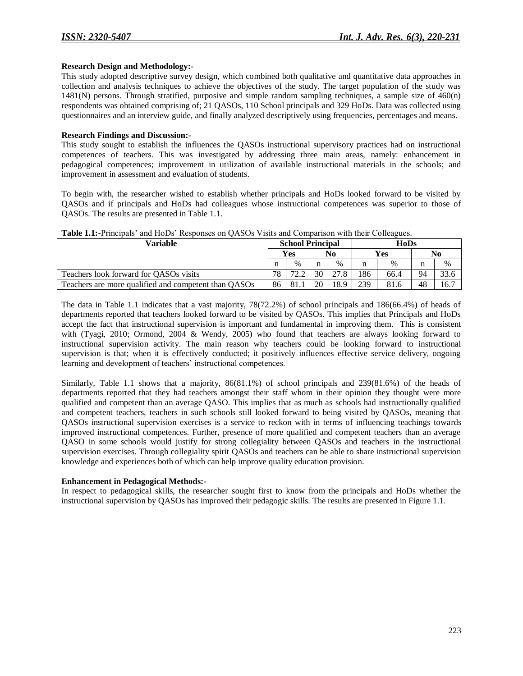#### **Research Design and Methodology:-**

This study adopted descriptive survey design, which combined both qualitative and quantitative data approaches in collection and analysis techniques to achieve the objectives of the study. The target population of the study was 1481(N) persons. Through stratified, purposive and simple random sampling techniques, a sample size of 460(n) respondents was obtained comprising of; 21 QASOs, 110 School principals and 329 HoDs. Data was collected using questionnaires and an interview guide, and finally analyzed descriptively using frequencies, percentages and means.

#### **Research Findings and Discussion:-**

This study sought to establish the influences the QASOs instructional supervisory practices had on instructional competences of teachers. This was investigated by addressing three main areas, namely: enhancement in pedagogical competences; improvement in utilization of available instructional materials in the schools; and improvement in assessment and evaluation of students.

To begin with, the researcher wished to establish whether principals and HoDs looked forward to be visited by QASOs and if principals and HoDs had colleagues whose instructional competences was superior to those of QASOs. The results are presented in Table 1.1.

| <b>THEIR THE LIBRARY CONTRACTED</b> TROOPORTS OF VIRGO TRACTED WITH COMPANY CONTRACTS. |    |                         |    |      |      |            |    |      |  |  |  |  |
|----------------------------------------------------------------------------------------|----|-------------------------|----|------|------|------------|----|------|--|--|--|--|
| Variable                                                                               |    | <b>School Principal</b> |    |      | HoDs |            |    |      |  |  |  |  |
|                                                                                        |    | Yes                     |    | No   |      | <b>Yes</b> | No |      |  |  |  |  |
|                                                                                        |    | $\%$                    | n  | $\%$ |      | $\%$       |    | $\%$ |  |  |  |  |
| Teachers look forward for QASOs visits                                                 | 78 | 72.2                    | 30 | 27.8 | 186  | 66.4       | 94 | 33.6 |  |  |  |  |
| Teachers are more qualified and competent than QASOs                                   | 86 | 81.1                    | 20 | 18.9 | 239  | 81.6       | 48 | 16.7 |  |  |  |  |

### **Table 1.1:-**Principals" and HoDs" Responses on QASOs Visits and Comparison with their Colleagues.

The data in Table 1.1 indicates that a vast majority, 78(72.2%) of school principals and 186(66.4%) of heads of departments reported that teachers looked forward to be visited by QASOs. This implies that Principals and HoDs accept the fact that instructional supervision is important and fundamental in improving them. This is consistent with (Tyagi, 2010; Ormond, 2004 & Wendy, 2005) who found that teachers are always looking forward to instructional supervision activity. The main reason why teachers could be looking forward to instructional supervision is that; when it is effectively conducted; it positively influences effective service delivery, ongoing learning and development of teachers' instructional competences.

Similarly, Table 1.1 shows that a majority, 86(81.1%) of school principals and 239(81.6%) of the heads of departments reported that they had teachers amongst their staff whom in their opinion they thought were more qualified and competent than an average QASO. This implies that as much as schools had instructionally qualified and competent teachers, teachers in such schools still looked forward to being visited by QASOs, meaning that QASOs instructional supervision exercises is a service to reckon with in terms of influencing teachings towards improved instructional competences. Further, presence of more qualified and competent teachers than an average QASO in some schools would justify for strong collegiality between QASOs and teachers in the instructional supervision exercises. Through collegiality spirit QASOs and teachers can be able to share instructional supervision knowledge and experiences both of which can help improve quality education provision.

### **Enhancement in Pedagogical Methods:-**

In respect to pedagogical skills, the researcher sought first to know from the principals and HoDs whether the instructional supervision by QASOs has improved their pedagogic skills. The results are presented in Figure 1.1.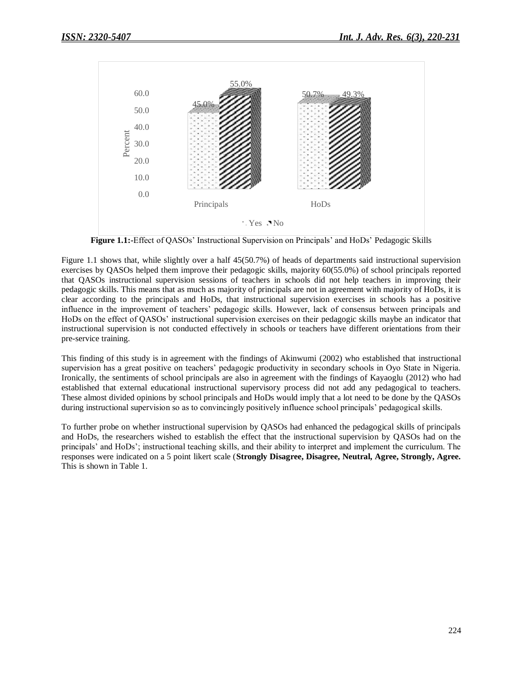

**Figure 1.1:-**Effect of QASOs' Instructional Supervision on Principals' and HoDs' Pedagogic Skills

Figure 1.1 shows that, while slightly over a half 45(50.7%) of heads of departments said instructional supervision exercises by QASOs helped them improve their pedagogic skills, majority 60(55.0%) of school principals reported that QASOs instructional supervision sessions of teachers in schools did not help teachers in improving their pedagogic skills. This means that as much as majority of principals are not in agreement with majority of HoDs, it is clear according to the principals and HoDs, that instructional supervision exercises in schools has a positive influence in the improvement of teachers" pedagogic skills. However, lack of consensus between principals and HoDs on the effect of QASOs" instructional supervision exercises on their pedagogic skills maybe an indicator that instructional supervision is not conducted effectively in schools or teachers have different orientations from their pre-service training.

This finding of this study is in agreement with the findings of Akinwumi (2002) who established that instructional supervision has a great positive on teachers' pedagogic productivity in secondary schools in Oyo State in Nigeria. Ironically, the sentiments of school principals are also in agreement with the findings of Kayaoglu (2012) who had established that external educational instructional supervisory process did not add any pedagogical to teachers. These almost divided opinions by school principals and HoDs would imply that a lot need to be done by the QASOs during instructional supervision so as to convincingly positively influence school principals' pedagogical skills.

To further probe on whether instructional supervision by QASOs had enhanced the pedagogical skills of principals and HoDs, the researchers wished to establish the effect that the instructional supervision by QASOs had on the principals' and HoDs'; instructional teaching skills, and their ability to interpret and implement the curriculum. The responses were indicated on a 5 point likert scale (**Strongly Disagree, Disagree, Neutral, Agree, Strongly, Agree.**  This is shown in Table 1.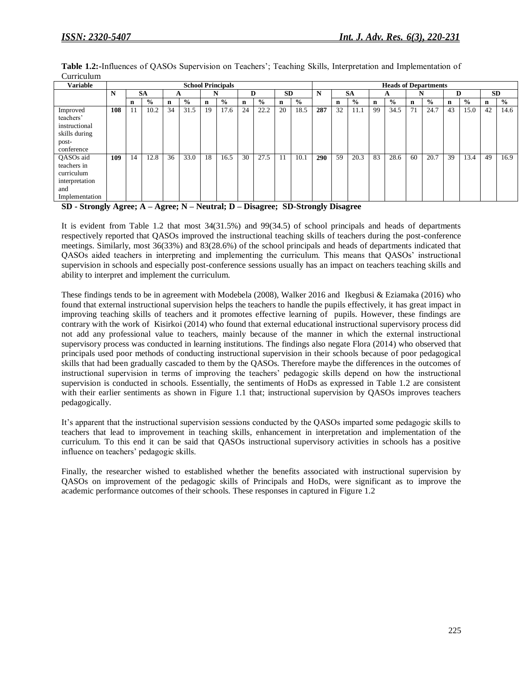**Table 1.2:-**Influences of QASOs Supervision on Teachers"; Teaching Skills, Interpretation and Implementation of Curriculum

| <b>Variable</b> | <b>School Principals</b> |    |               |    |               |    |               |    |               | <b>Heads of Departments</b> |                |     |           |               |    |               |             |               |             |               |             |      |
|-----------------|--------------------------|----|---------------|----|---------------|----|---------------|----|---------------|-----------------------------|----------------|-----|-----------|---------------|----|---------------|-------------|---------------|-------------|---------------|-------------|------|
|                 | N                        |    | <b>SA</b>     | А  |               |    | N             |    | D             |                             | <b>SD</b><br>N |     | <b>SA</b> |               | A  |               | N           |               | D           |               | <b>SD</b>   |      |
|                 |                          | n  | $\frac{6}{9}$ | n  | $\frac{0}{0}$ | n  | $\frac{0}{0}$ | n  | $\frac{6}{9}$ | n                           | $\frac{0}{0}$  |     | n         | $\frac{0}{0}$ | n  | $\frac{0}{0}$ | $\mathbf n$ | $\frac{0}{0}$ | $\mathbf n$ | $\frac{0}{0}$ | $\mathbf n$ | $\%$ |
| Improved        | 108                      |    | 10.2          | 34 | 31.5          | 19 | 17.6          | 24 | 22.2          | 20                          | 18.5           | 287 | 32        | 11.1          | 99 | 34.5          | 71          | 24.7          | 43          | 15.0          | 42          | 14.6 |
| teachers'       |                          |    |               |    |               |    |               |    |               |                             |                |     |           |               |    |               |             |               |             |               |             |      |
| instructional   |                          |    |               |    |               |    |               |    |               |                             |                |     |           |               |    |               |             |               |             |               |             |      |
| skills during   |                          |    |               |    |               |    |               |    |               |                             |                |     |           |               |    |               |             |               |             |               |             |      |
| post-           |                          |    |               |    |               |    |               |    |               |                             |                |     |           |               |    |               |             |               |             |               |             |      |
| conference      |                          |    |               |    |               |    |               |    |               |                             |                |     |           |               |    |               |             |               |             |               |             |      |
| QASOs aid       | 109                      | 14 | 12.8          | 36 | 33.0          | 18 | 16.5          | 30 | 27.5          |                             | 10.1           | 290 | 59        | 20.3          | 83 | 28.6          | 60          | 20.7          | 39          | 13.4          | 49          | 16.9 |
| teachers in     |                          |    |               |    |               |    |               |    |               |                             |                |     |           |               |    |               |             |               |             |               |             |      |
| curriculum      |                          |    |               |    |               |    |               |    |               |                             |                |     |           |               |    |               |             |               |             |               |             |      |
| interpretation  |                          |    |               |    |               |    |               |    |               |                             |                |     |           |               |    |               |             |               |             |               |             |      |
| and             |                          |    |               |    |               |    |               |    |               |                             |                |     |           |               |    |               |             |               |             |               |             |      |
| Implementation  |                          |    |               |    |               |    |               |    |               |                             |                |     |           |               |    |               |             |               |             |               |             |      |

**SD - Strongly Agree; A – Agree; N – Neutral; D – Disagree; SD-Strongly Disagree**

It is evident from Table 1.2 that most 34(31.5%) and 99(34.5) of school principals and heads of departments respectively reported that QASOs improved the instructional teaching skills of teachers during the post-conference meetings. Similarly, most 36(33%) and 83(28.6%) of the school principals and heads of departments indicated that QASOs aided teachers in interpreting and implementing the curriculum. This means that QASOs" instructional supervision in schools and especially post-conference sessions usually has an impact on teachers teaching skills and ability to interpret and implement the curriculum.

These findings tends to be in agreement with Modebela (2008), Walker 2016 and Ikegbusi & Eziamaka (2016) who found that external instructional supervision helps the teachers to handle the pupils effectively, it has great impact in improving teaching skills of teachers and it promotes effective learning of pupils. However, these findings are contrary with the work of Kisirkoi (2014) who found that external educational instructional supervisory process did not add any professional value to teachers, mainly because of the manner in which the external instructional supervisory process was conducted in learning institutions. The findings also negate Flora (2014) who observed that principals used poor methods of conducting instructional supervision in their schools because of poor pedagogical skills that had been gradually cascaded to them by the QASOs. Therefore maybe the differences in the outcomes of instructional supervision in terms of improving the teachers" pedagogic skills depend on how the instructional supervision is conducted in schools. Essentially, the sentiments of HoDs as expressed in Table 1.2 are consistent with their earlier sentiments as shown in Figure 1.1 that; instructional supervision by QASOs improves teachers pedagogically.

It"s apparent that the instructional supervision sessions conducted by the QASOs imparted some pedagogic skills to teachers that lead to improvement in teaching skills, enhancement in interpretation and implementation of the curriculum. To this end it can be said that QASOs instructional supervisory activities in schools has a positive influence on teachers" pedagogic skills.

Finally, the researcher wished to established whether the benefits associated with instructional supervision by QASOs on improvement of the pedagogic skills of Principals and HoDs, were significant as to improve the academic performance outcomes of their schools. These responses in captured in Figure 1.2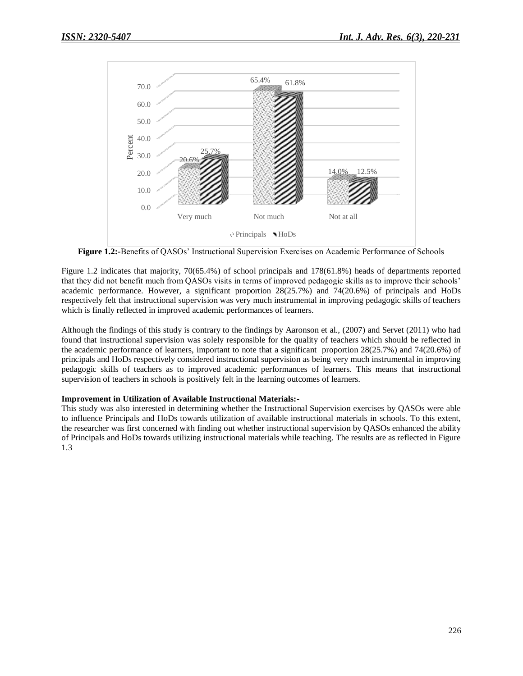

**Figure 1.2:-**Benefits of QASOs" Instructional Supervision Exercises on Academic Performance of Schools

Figure 1.2 indicates that majority, 70(65.4%) of school principals and 178(61.8%) heads of departments reported that they did not benefit much from QASOs visits in terms of improved pedagogic skills as to improve their schools" academic performance. However, a significant proportion 28(25.7%) and 74(20.6%) of principals and HoDs respectively felt that instructional supervision was very much instrumental in improving pedagogic skills of teachers which is finally reflected in improved academic performances of learners.

Although the findings of this study is contrary to the findings by Aaronson et al., (2007) and Servet (2011) who had found that instructional supervision was solely responsible for the quality of teachers which should be reflected in the academic performance of learners, important to note that a significant proportion 28(25.7%) and 74(20.6%) of principals and HoDs respectively considered instructional supervision as being very much instrumental in improving pedagogic skills of teachers as to improved academic performances of learners. This means that instructional supervision of teachers in schools is positively felt in the learning outcomes of learners.

### **Improvement in Utilization of Available Instructional Materials:-**

This study was also interested in determining whether the Instructional Supervision exercises by QASOs were able to influence Principals and HoDs towards utilization of available instructional materials in schools. To this extent, the researcher was first concerned with finding out whether instructional supervision by QASOs enhanced the ability of Principals and HoDs towards utilizing instructional materials while teaching. The results are as reflected in Figure 1.3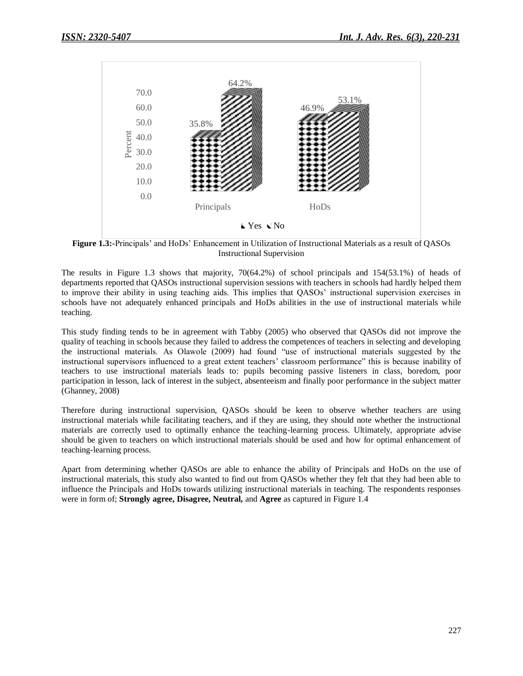

**Figure 1.3:-**Principals" and HoDs" Enhancement in Utilization of Instructional Materials as a result of QASOs Instructional Supervision

The results in Figure 1.3 shows that majority, 70(64.2%) of school principals and 154(53.1%) of heads of departments reported that QASOs instructional supervision sessions with teachers in schools had hardly helped them to improve their ability in using teaching aids. This implies that QASOs" instructional supervision exercises in schools have not adequately enhanced principals and HoDs abilities in the use of instructional materials while teaching.

This study finding tends to be in agreement with Tabby (2005) who observed that QASOs did not improve the quality of teaching in schools because they failed to address the competences of teachers in selecting and developing the instructional materials. As Olawole (2009) had found "use of instructional materials suggested by the instructional supervisors influenced to a great extent teachers" classroom performance" this is because inability of teachers to use instructional materials leads to: pupils becoming passive listeners in class, boredom, poor participation in lesson, lack of interest in the subject, absenteeism and finally poor performance in the subject matter (Ghanney, 2008)

Therefore during instructional supervision, QASOs should be keen to observe whether teachers are using instructional materials while facilitating teachers, and if they are using, they should note whether the instructional materials are correctly used to optimally enhance the teaching-learning process. Ultimately, appropriate advise should be given to teachers on which instructional materials should be used and how for optimal enhancement of teaching-learning process.

Apart from determining whether QASOs are able to enhance the ability of Principals and HoDs on the use of instructional materials, this study also wanted to find out from QASOs whether they felt that they had been able to influence the Principals and HoDs towards utilizing instructional materials in teaching. The respondents responses were in form of; **Strongly agree, Disagree, Neutral,** and **Agree** as captured in Figure 1.4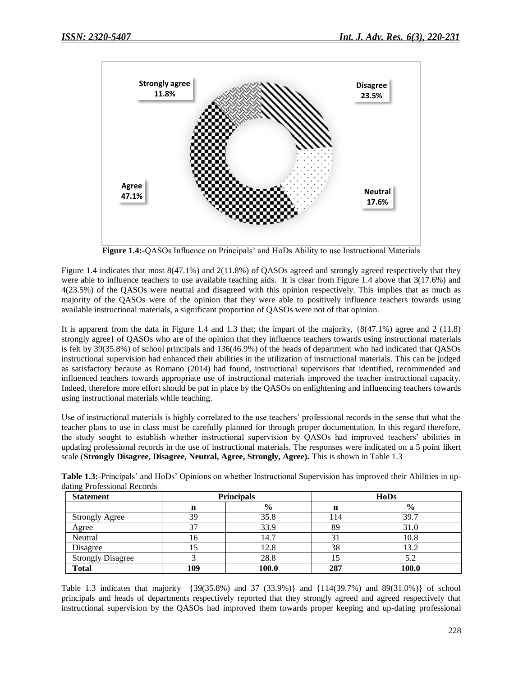

**Figure 1.4:-**QASOs Influence on Principals' and HoDs Ability to use Instructional Materials

Figure 1.4 indicates that most 8(47.1%) and 2(11.8%) of QASOs agreed and strongly agreed respectively that they were able to influence teachers to use available teaching aids. It is clear from Figure 1.4 above that 3(17.6%) and 4(23.5%) of the QASOs were neutral and disagreed with this opinion respectively. This implies that as much as majority of the QASOs were of the opinion that they were able to positively influence teachers towards using available instructional materials, a significant proportion of QASOs were not of that opinion.

It is apparent from the data in Figure 1.4 and 1.3 that; the impart of the majority, {8(47.1%) agree and 2 (11.8) strongly agree} of QASOs who are of the opinion that they influence teachers towards using instructional materials is felt by 39(35.8%) of school principals and 136(46.9%) of the heads of department who had indicated that QASOs instructional supervision had enhanced their abilities in the utilization of instructional materials. This can be judged as satisfactory because as Romano (2014) had found, instructional supervisors that identified, recommended and influenced teachers towards appropriate use of instructional materials improved the teacher instructional capacity. Indeed, therefore more effort should be put in place by the QASOs on enlightening and influencing teachers towards using instructional materials while teaching.

Use of instructional materials is highly correlated to the use teachers" professional records in the sense that what the teacher plans to use in class must be carefully planned for through proper documentation. In this regard therefore, the study sought to establish whether instructional supervision by QASOs had improved teachers" abilities in updating professional records in the use of instructional materials. The responses were indicated on a 5 point likert scale (**Strongly Disagree, Disagree, Neutral, Agree, Strongly, Agree).** This is shown in Table 1.3

| <b>Statement</b>         |     | <b>Principals</b> |     | <b>HoDs</b> |
|--------------------------|-----|-------------------|-----|-------------|
|                          | n   | $\frac{6}{9}$     | n   | $\%$        |
| <b>Strongly Agree</b>    | 39  | 35.8              | 114 | 39.7        |
| Agree                    | 37  | 33.9              | 89  | 31.0        |
| Neutral                  | 16  | 14.7              | 31  | 10.8        |
| Disagree                 | 15  | 12.8              | 38  | 13.2        |
| <b>Strongly Disagree</b> |     | 28.8              |     | 5.2         |
| <b>Total</b>             | 109 | 100.0             | 287 | 100.0       |

**Table 1.3:-**Principals" and HoDs" Opinions on whether Instructional Supervision has improved their Abilities in updating Professional Records

Table 1.3 indicates that majority {39(35.8%) and 37 (33.9%)} and {114(39.7%) and 89(31.0%)} of school principals and heads of departments respectively reported that they strongly agreed and agreed respectively that instructional supervision by the QASOs had improved them towards proper keeping and up-dating professional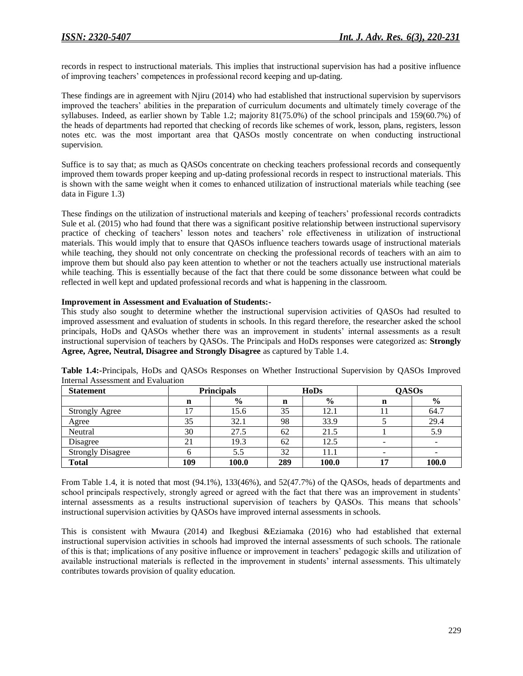records in respect to instructional materials. This implies that instructional supervision has had a positive influence of improving teachers" competences in professional record keeping and up-dating.

These findings are in agreement with Njiru (2014) who had established that instructional supervision by supervisors improved the teachers" abilities in the preparation of curriculum documents and ultimately timely coverage of the syllabuses. Indeed, as earlier shown by Table 1.2; majority 81(75.0%) of the school principals and 159(60.7%) of the heads of departments had reported that checking of records like schemes of work, lesson, plans, registers, lesson notes etc. was the most important area that QASOs mostly concentrate on when conducting instructional supervision.

Suffice is to say that; as much as QASOs concentrate on checking teachers professional records and consequently improved them towards proper keeping and up-dating professional records in respect to instructional materials. This is shown with the same weight when it comes to enhanced utilization of instructional materials while teaching (see data in Figure 1.3)

These findings on the utilization of instructional materials and keeping of teachers" professional records contradicts Sule et al. (2015) who had found that there was a significant positive relationship between instructional supervisory practice of checking of teachers" lesson notes and teachers" role effectiveness in utilization of instructional materials. This would imply that to ensure that QASOs influence teachers towards usage of instructional materials while teaching, they should not only concentrate on checking the professional records of teachers with an aim to improve them but should also pay keen attention to whether or not the teachers actually use instructional materials while teaching. This is essentially because of the fact that there could be some dissonance between what could be reflected in well kept and updated professional records and what is happening in the classroom.

### **Improvement in Assessment and Evaluation of Students:-**

This study also sought to determine whether the instructional supervision activities of QASOs had resulted to improved assessment and evaluation of students in schools. In this regard therefore, the researcher asked the school principals, HoDs and QASOs whether there was an improvement in students" internal assessments as a result instructional supervision of teachers by QASOs. The Principals and HoDs responses were categorized as: **Strongly Agree, Agree, Neutral, Disagree and Strongly Disagree** as captured by Table 1.4.

| <b>Statement</b>         |     | <b>Principals</b> |     | <b>HoDs</b>   | <b>QASOs</b> |       |  |  |
|--------------------------|-----|-------------------|-----|---------------|--------------|-------|--|--|
|                          | n   | $\frac{6}{6}$     | n   | $\frac{6}{6}$ | n            | $\%$  |  |  |
| <b>Strongly Agree</b>    |     | 15.6              | 35  | 12.1          |              | 64.7  |  |  |
| Agree                    | 35  | 32.1              | 98  | 33.9          |              | 29.4  |  |  |
| Neutral                  | 30  | 27.5              | 62  | 21.5          |              | 5.9   |  |  |
| Disagree                 | 21  | 19.3              | 62  | 12.5          | -            |       |  |  |
| <b>Strongly Disagree</b> |     | 5.5               | 32  | 11.1          |              |       |  |  |
| <b>Total</b>             | 109 | 100.0             | 289 | 100.0         | 17           | 100.0 |  |  |

**Table 1.4:-**Principals, HoDs and QASOs Responses on Whether Instructional Supervision by QASOs Improved Internal Assessment and Evaluation

From Table 1.4, it is noted that most (94.1%), 133(46%), and 52(47.7%) of the QASOs, heads of departments and school principals respectively, strongly agreed or agreed with the fact that there was an improvement in students' internal assessments as a results instructional supervision of teachers by QASOs. This means that schools" instructional supervision activities by QASOs have improved internal assessments in schools.

This is consistent with Mwaura (2014) and Ikegbusi &Eziamaka (2016) who had established that external instructional supervision activities in schools had improved the internal assessments of such schools. The rationale of this is that; implications of any positive influence or improvement in teachers" pedagogic skills and utilization of available instructional materials is reflected in the improvement in students" internal assessments. This ultimately contributes towards provision of quality education.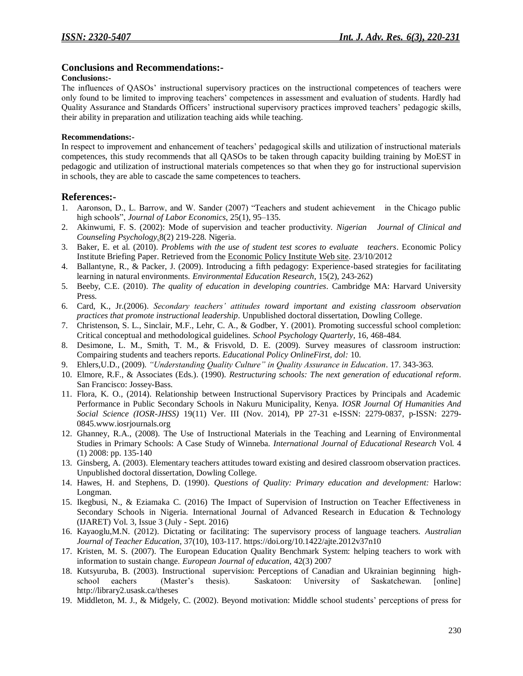## **Conclusions and Recommendations:-**

#### **Conclusions:-**

The influences of QASOs" instructional supervisory practices on the instructional competences of teachers were only found to be limited to improving teachers" competences in assessment and evaluation of students. Hardly had Quality Assurance and Standards Officers" instructional supervisory practices improved teachers" pedagogic skills, their ability in preparation and utilization teaching aids while teaching.

#### **Recommendations:-**

In respect to improvement and enhancement of teachers" pedagogical skills and utilization of instructional materials competences, this study recommends that all QASOs to be taken through capacity building training by MoEST in pedagogic and utilization of instructional materials competences so that when they go for instructional supervision in schools, they are able to cascade the same competences to teachers.

### **References:-**

- 1. Aaronson, D., L. Barrow, and W. Sander (2007) "Teachers and student achievement in the Chicago public high schools", *Journal of Labor Economics*, 25(1), 95–135.
- 2. Akinwumi, F. S. (2002): Mode of supervision and teacher productivity. *Nigerian Journal of Clinical and Counseling Psychology.*8(2) 219-228. Nigeria.
- 3. Baker, E. et al. (2010). *Problems with the use of student test scores to evaluate teachers*. Economic Policy Institute Briefing Paper. Retrieved from the [Economic Policy Institute Web site.](http://epi.3cdn.net/b9667271ee6c154195_t9m6iij8k.pdf) 23/10/2012
- 4. Ballantyne, R., & Packer, J. (2009). Introducing a fifth pedagogy: Experience-based strategies for facilitating learning in natural environments. *Environmental Education Research*, 15(2), 243-262)
- 5. Beeby, C.E. (2010). *The quality of education in developing countries*. Cambridge MA: Harvard University Press.
- 6. Card, K., Jr.(2006). *Secondary teachers' attitudes toward important and existing classroom observation practices that promote instructional leadership*. Unpublished doctoral dissertation, Dowling College.
- 7. Christenson, S. L., Sinclair, M.F., Lehr, C. A., & Godber, Y. (2001). Promoting successful school completion: Critical conceptual and methodological guidelines. *School Psychology Quarterly*, 16, 468-484.
- 8. Desimone, L. M., Smith, T. M., & Frisvold, D. E. (2009). Survey measures of classroom instruction: Compairing students and teachers reports. *Educational Policy OnlineFirst, dol:* 10.
- 9. Ehlers,U.D., (2009). *"Understanding Quality Culture" in Quality Assurance in Education*. 17. 343-363.
- 10. Elmore, R.F., & Associates (Eds.). (1990). *Restructuring schools: The next generation of educational reform*. San Francisco: Jossey-Bass.
- 11. Flora, K. O., (2014). Relationship between Instructional Supervisory Practices by Principals and Academic Performance in Public Secondary Schools in Nakuru Municipality, Kenya. *IOSR Journal Of Humanities And Social Science (IOSR-JHSS)* 19(11) Ver. III (Nov. 2014), PP 27-31 e-ISSN: 2279-0837, p-ISSN: 2279- 0845.www.iosrjournals.org
- 12. Ghanney, R.A., (2008). The Use of Instructional Materials in the Teaching and Learning of Environmental Studies in Primary Schools: A Case Study of Winneba. *International Journal of Educational Research* Vol. 4 (1) 2008: pp. 135-140
- 13. Ginsberg, A. (2003). Elementary teachers attitudes toward existing and desired classroom observation practices. Unpublished doctoral dissertation, Dowling College.
- 14. Hawes, H. and Stephens, D. (1990). *Questions of Quality: Primary education and development:* Harlow: Longman.
- 15. Ikegbusi, N., & Eziamaka C. (2016) The Impact of Supervision of Instruction on Teacher Effectiveness in Secondary Schools in Nigeria. International Journal of Advanced Research in Education & Technology (IJARET) Vol. 3, Issue 3 (July - Sept. 2016)
- 16. Kayaoglu,M.N. (2012). Dictating or facilitating: The supervisory process of language teachers. *Australian Journal of Teacher Education*, 37(10), 103-117. https://doi.org/10.1422/ajte.2012v37n10
- 17. Kristen, M. S. (2007). The European Education Quality Benchmark System: helping teachers to work with information to sustain change*. European Journal of education,* 42(3) 2007
- 18. Kutsyuruba, B. (2003). Instructional supervision: Perceptions of Canadian and Ukrainian beginning highschool eachers (Master"s thesis). Saskatoon: University of Saskatchewan. [online] http://library2.usask.ca/theses
- 19. Middleton, M. J., & Midgely, C. (2002). Beyond motivation: Middle school students" perceptions of press for